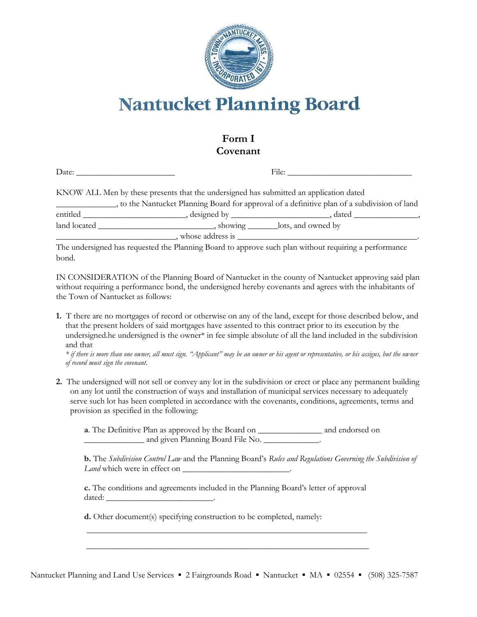

# **Nantucket Planning Board**

## **Form I Covenant**

|                                                                                            | KNOW ALL Men by these presents that the undersigned has submitted an application dated |  |  |  |
|--------------------------------------------------------------------------------------------|----------------------------------------------------------------------------------------|--|--|--|
| to the Nantucket Planning Board for approval of a definitive plan of a subdivision of land |                                                                                        |  |  |  |
|                                                                                            |                                                                                        |  |  |  |
|                                                                                            |                                                                                        |  |  |  |
|                                                                                            | whose address is                                                                       |  |  |  |

The undersigned has requested the Planning Board to approve such plan without requiring a performance bond.

IN CONSIDERATION of the Planning Board of Nantucket in the county of Nantucket approving said plan without requiring a performance bond, the undersigned hereby covenants and agrees with the inhabitants of the Town of Nantucket as follows:

**1.** T there are no mortgages of record or otherwise on any of the land, except for those described below, and that the present holders of said mortgages have assented to this contract prior to its execution by the undersigned.he undersigned is the owner\* in fee simple absolute of all the land included in the subdivision and that

*\* if there is more than one owner, all must sign. "Applicant" may be an owner or his agent or representative, or his assigns, but the owner of record must sign the covenant.*

**2.** The undersigned will not sell or convey any lot in the subdivision or erect or place any permanent building on any lot until the construction of ways and installation of municipal services necessary to adequately serve such lot has been completed in accordance with the covenants, conditions, agreements, terms and provision as specified in the following:

**a**. The Definitive Plan as approved by the Board on \_\_\_\_\_\_\_\_\_\_\_\_\_\_\_ and endorsed on \_\_\_\_\_\_\_\_\_\_\_\_\_\_ and given Planning Board File No. \_\_\_\_\_\_\_\_\_\_\_\_\_.

**b.** The *Subdivision Control Law* and the Planning Board's *Rules and Regulations Governing the Subdivision of Land* which were in effect on

**c.** The conditions and agreements included in the Planning Board's letter of approval dated: \_\_\_\_\_\_\_\_\_\_\_\_\_\_\_\_\_\_\_\_\_\_\_\_\_.

**d.** Other document(s) specifying construction to be completed, namely:

**\_\_\_\_\_\_\_\_\_\_\_\_\_\_\_\_\_\_\_\_\_\_\_\_\_\_\_\_\_\_\_\_\_\_\_\_\_\_\_\_\_\_\_\_\_\_\_\_\_\_\_\_\_\_\_\_\_\_\_\_\_\_\_\_\_\_**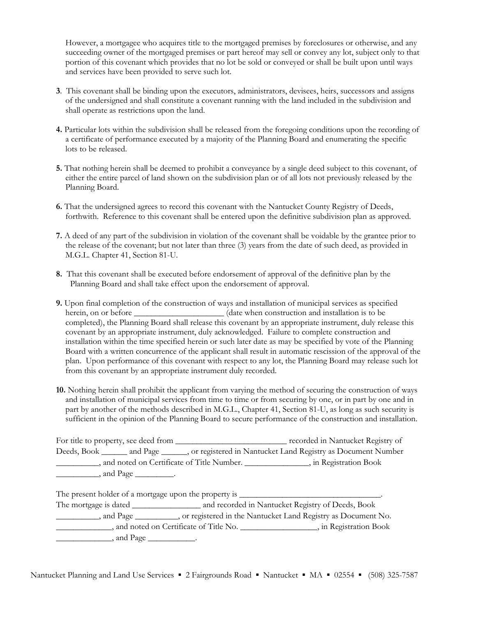However, a mortgagee who acquires title to the mortgaged premises by foreclosures or otherwise, and any succeeding owner of the mortgaged premises or part hereof may sell or convey any lot, subject only to that portion of this covenant which provides that no lot be sold or conveyed or shall be built upon until ways and services have been provided to serve such lot.

- **3**. This covenant shall be binding upon the executors, administrators, devisees, heirs, successors and assigns of the undersigned and shall constitute a covenant running with the land included in the subdivision and shall operate as restrictions upon the land.
- **4.** Particular lots within the subdivision shall be released from the foregoing conditions upon the recording of a certificate of performance executed by a majority of the Planning Board and enumerating the specific lots to be released.
- **5.** That nothing herein shall be deemed to prohibit a conveyance by a single deed subject to this covenant, of either the entire parcel of land shown on the subdivision plan or of all lots not previously released by the Planning Board.
- **6.** That the undersigned agrees to record this covenant with the Nantucket County Registry of Deeds, forthwith. Reference to this covenant shall be entered upon the definitive subdivision plan as approved.
- **7.** A deed of any part of the subdivision in violation of the covenant shall be voidable by the grantee prior to the release of the covenant; but not later than three (3) years from the date of such deed, as provided in M.G.L. Chapter 41, Section 81-U.
- **8.** That this covenant shall be executed before endorsement of approval of the definitive plan by the Planning Board and shall take effect upon the endorsement of approval.
- **9.** Upon final completion of the construction of ways and installation of municipal services as specified herein, on or before \_\_\_\_\_\_\_\_\_\_\_\_\_\_\_\_\_\_\_\_\_\_(date when construction and installation is to be completed), the Planning Board shall release this covenant by an appropriate instrument, duly release this covenant by an appropriate instrument, duly acknowledged. Failure to complete construction and installation within the time specified herein or such later date as may be specified by vote of the Planning Board with a written concurrence of the applicant shall result in automatic rescission of the approval of the plan. Upon performance of this covenant with respect to any lot, the Planning Board may release such lot from this covenant by an appropriate instrument duly recorded.
- **10.** Nothing herein shall prohibit the applicant from varying the method of securing the construction of ways and installation of municipal services from time to time or from securing by one, or in part by one and in part by another of the methods described in M.G.L., Chapter 41, Section 81-U, as long as such security is sufficient in the opinion of the Planning Board to secure performance of the construction and installation.

|                                                          | For title to property, see deed from    |                                                                                                    | recorded in Nantucket Registry of |
|----------------------------------------------------------|-----------------------------------------|----------------------------------------------------------------------------------------------------|-----------------------------------|
|                                                          |                                         | Deeds, Book ________ and Page _______, or registered in Nantucket Land Registry as Document Number |                                   |
| , and noted on Certificate of Title Number. ____________ |                                         |                                                                                                    | , in Registration Book            |
|                                                          | $\Box$ , and Page $\_\_\_\_\_\_\_\_\$ . |                                                                                                    |                                   |

The present holder of a mortgage upon the property is \_\_\_\_\_\_\_\_\_\_\_\_\_\_\_\_\_\_\_\_\_\_\_\_\_\_\_\_\_\_\_\_\_. The mortgage is dated \_\_\_\_\_\_\_\_\_\_\_\_\_\_\_\_\_ and recorded in Nantucket Registry of Deeds, Book \_\_\_\_\_\_\_\_\_\_, and Page \_\_\_\_\_\_\_\_\_\_, or registered in the Nantucket Land Registry as Document No. \_\_\_\_\_\_\_\_\_\_\_\_\_, and noted on Certificate of Title No. \_\_\_\_\_\_\_\_\_\_\_\_\_\_\_\_\_\_, in Registration Book  $\Box$ , and Page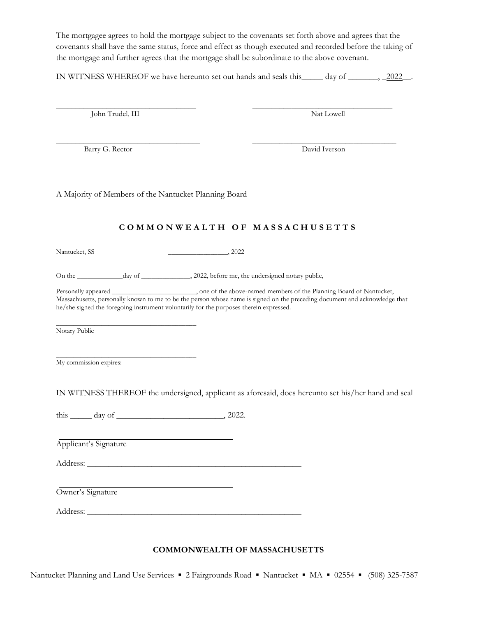The mortgagee agrees to hold the mortgage subject to the covenants set forth above and agrees that the covenants shall have the same status, force and effect as though executed and recorded before the taking of the mortgage and further agrees that the mortgage shall be subordinate to the above covenant.

IN WITNESS WHEREOF we have hereunto set out hands and seals this\_\_\_\_\_ day of \_\_\_\_\_\_\_, \_2022\_\_.

 $\overline{\phantom{a}}$  , and the contribution of the contribution of the contribution of the contribution of the contribution of the contribution of the contribution of the contribution of the contribution of the contribution of the

John Trudel, III Nat Lowell

\_\_\_\_\_\_\_\_\_\_\_\_\_\_\_\_\_\_\_\_\_\_\_\_\_\_\_\_\_\_\_\_\_\_\_\_\_ \_\_\_\_\_\_\_\_\_\_\_\_\_\_\_\_\_\_\_\_\_\_\_\_\_\_\_\_\_\_\_\_\_\_\_\_\_ Barry G. Rector David Iverson

A Majority of Members of the Nantucket Planning Board

#### **C O M M O N W E A L T H O F M A S S A C H U S E T T S**

Nantucket, SS\_\_\_\_\_\_\_\_\_\_\_\_\_\_\_\_\_, 2022

On the \_\_\_\_\_\_\_\_\_\_\_\_\_day of \_\_\_\_\_\_\_\_\_\_\_\_\_, 2022, before me, the undersigned notary public,

Personally appeared \_\_\_\_\_\_\_\_\_\_\_\_\_\_\_\_\_\_\_\_, one of the above-named members of the Planning Board of Nantucket, Massachusetts, personally known to me to be the person whose name is signed on the preceding document and acknowledge that he/she signed the foregoing instrument voluntarily for the purposes therein expressed.

 $\overline{\phantom{a}}$  , and the contract of the contract of the contract of the contract of the contract of the contract of the contract of the contract of the contract of the contract of the contract of the contract of the contrac Notary Public

 $\overline{\phantom{a}}$  , and the contract of the contract of the contract of the contract of the contract of the contract of the contract of the contract of the contract of the contract of the contract of the contract of the contrac My commission expires:

IN WITNESS THEREOF the undersigned, applicant as aforesaid, does hereunto set his/her hand and seal

this \_\_\_\_\_ day of \_\_\_\_\_\_\_\_\_\_\_\_\_\_\_\_\_\_\_\_\_\_\_\_\_, 2022.

Applicant's Signature

Address: \_\_\_\_\_\_\_\_\_\_\_\_\_\_\_\_\_\_\_\_\_\_\_\_\_\_\_\_\_\_\_\_\_\_\_\_\_\_\_\_\_\_\_\_\_\_\_\_\_\_

Owner's Signature

Address: \_\_\_\_\_\_\_\_\_\_\_\_\_\_\_\_\_\_\_\_\_\_\_\_\_\_\_\_\_\_\_\_\_\_\_\_\_\_\_\_\_\_\_\_\_\_\_\_\_\_

#### **COMMONWEALTH OF MASSACHUSETTS**

Nantucket Planning and Land Use Services ▪ 2 Fairgrounds Road ▪ Nantucket ▪ MA ▪ 02554 ▪ (508) 325-7587